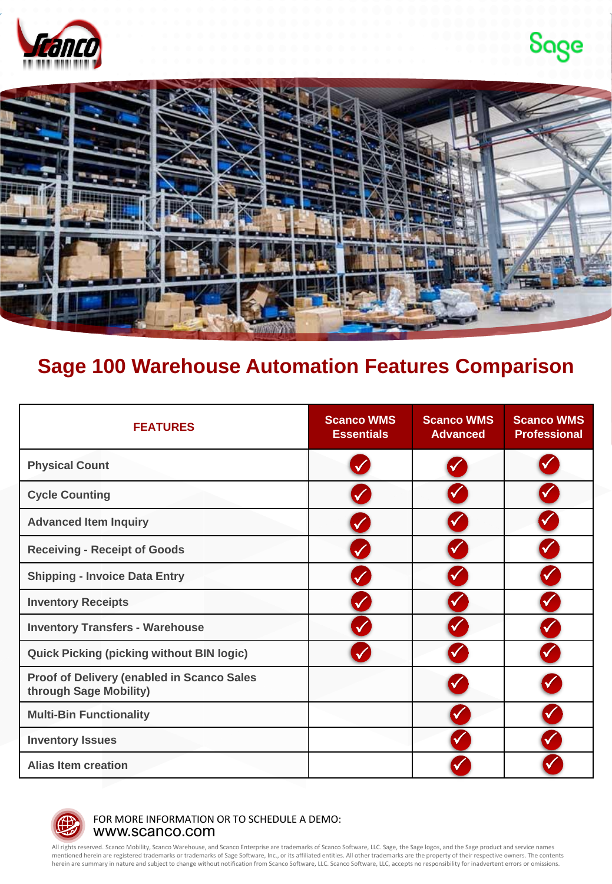





## **Sage 100 Warehouse Automation Features Comparison**

| <b>FEATURES</b>                                                      | <b>Scanco WMS</b><br><b>Essentials</b> | <b>Scanco WMS</b><br><b>Advanced</b> | <b>Scanco WMS</b><br><b>Professional</b> |
|----------------------------------------------------------------------|----------------------------------------|--------------------------------------|------------------------------------------|
| <b>Physical Count</b>                                                |                                        |                                      |                                          |
| <b>Cycle Counting</b>                                                |                                        |                                      |                                          |
| <b>Advanced Item Inquiry</b>                                         |                                        |                                      |                                          |
| <b>Receiving - Receipt of Goods</b>                                  |                                        |                                      |                                          |
| <b>Shipping - Invoice Data Entry</b>                                 |                                        |                                      |                                          |
| <b>Inventory Receipts</b>                                            |                                        |                                      |                                          |
| <b>Inventory Transfers - Warehouse</b>                               |                                        |                                      |                                          |
| <b>Quick Picking (picking without BIN logic)</b>                     |                                        |                                      |                                          |
| Proof of Delivery (enabled in Scanco Sales<br>through Sage Mobility) |                                        |                                      |                                          |
| <b>Multi-Bin Functionality</b>                                       |                                        |                                      |                                          |
| <b>Inventory Issues</b>                                              |                                        |                                      |                                          |
| <b>Alias Item creation</b>                                           |                                        |                                      |                                          |



www.scanco.com FOR MORE INFORMATION OR TO SCHEDULE A DEMO:

All rights reserved. Scanco Mobility, Scanco Warehouse, and Scanco Enterprise are trademarks of Scanco Software, LLC. Sage, the Sage logos, and the Sage product and service names<br>mentioned herein are registered trademarks herein are summary in nature and subject to change without notification from Scanco Software, LLC. Scanco Software, LLC, accepts no responsibility for inadvertent errors or omissions.